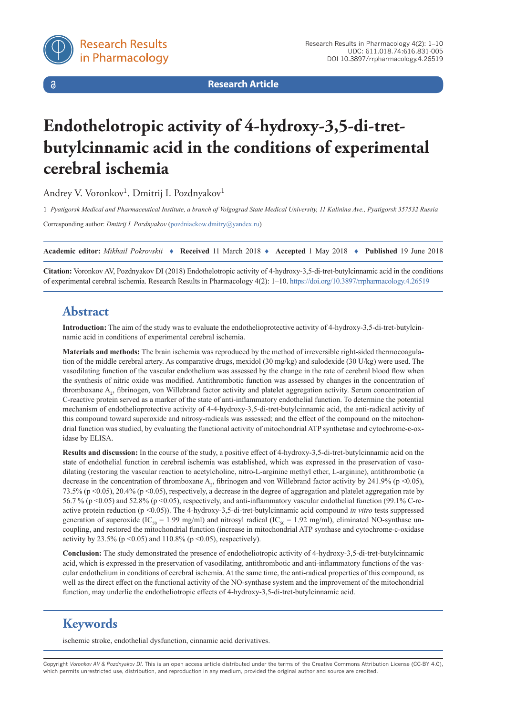$\delta$ 

**Research Article**

# **Endothelotropic activity of 4-hydroxy-3,5-di-tretbutylcinnamic acid in the conditions of experimental cerebral ischemia**

Andrey V. Voronkov<sup>1</sup>, Dmitrij I. Pozdnyakov<sup>1</sup>

1 *Pyatigorsk Medical and Pharmaceutical Institute, a branch of Volgograd State Medical University, 11 Kalinina Ave., Pyatigorsk 357532 Russia*

Corresponding author: *Dmitrij I. Pozdnyakov* ([pozdniackow.dmitry@yandex.ru](mailto:pozdniackow.dmitry@yandex.ru))

**Academic editor:** *Mikhail Pokrovskii* ♦ **Received** 11 March 2018 ♦ **Accepted** 1 May 2018 ♦ **Published** 19 June 2018

**Citation:** Voronkov AV, Pozdnyakov DI (2018) Endothelotropic activity of 4-hydroxy-3,5-di-tret-butylcinnamic acid in the conditions of experimental cerebral ischemia. Research Results in Pharmacology 4(2): 1–10.<https://doi.org/10.3897/rrpharmacology.4.26519>

## **Abstract**

**Introduction:** The aim of the study was to evaluate the endothelioprotective activity of 4-hydroxy-3,5-di-tret-butylcinnamic acid in conditions of experimental cerebral ischemia.

**Materials and methods:** The brain ischemia was reproduced by the method of irreversible right-sided thermocoagulation of the middle cerebral artery. As comparative drugs, mexidol (30 mg/kg) and sulodexide (30 U/kg) were used. The vasodilating function of the vascular endothelium was assessed by the change in the rate of cerebral blood flow when the synthesis of nitric oxide was modified. Antithrombotic function was assessed by changes in the concentration of thromboxane A<sub>2</sub>, fibrinogen, von Willebrand factor activity and platelet aggregation activity. Serum concentration of C-reactive protein served as a marker of the state of anti-inflammatory endothelial function. To determine the potential mechanism of endothelioprotective activity of 4-4-hydroxy-3,5-di-tret-butylcinnamic acid, the anti-radical activity of this compound toward superoxide and nitrosy-radicals was assessed; and the effect of the compound on the mitochondrial function was studied, by evaluating the functional activity of mitochondrial ATP synthetase and cytochrome-c-oxidase by ELISA.

**Results and discussion:** In the course of the study, a positive effect of 4-hydroxy-3,5-di-tret-butylcinnamic acid on the state of endothelial function in cerebral ischemia was established, which was expressed in the preservation of vasodilating (restoring the vascular reaction to acetylcholine, nitro-L-arginine methyl ether, L-arginine), antithrombotic (a decrease in the concentration of thromboxane  $A_2$ , fibrinogen and von Willebrand factor activity by 241.9% (p <0.05), 73.5% (p <0.05), 20.4% (p <0.05), respectively, a decrease in the degree of aggregation and platelet aggregation rate by 56.7 % (p <0.05) and 52.8% (p <0.05), respectively, and anti-inflammatory vascular endothelial function (99.1% C-reactive protein reduction (p <0.05)). The 4-hydroxy-3,5-di-tret-butylcinnamic acid compound *in vitro* tests suppressed generation of superoxide (IC<sub>50</sub> = 1.99 mg/ml) and nitrosyl radical (IC<sub>50</sub> = 1.92 mg/ml), eliminated NO-synthase uncoupling, and restored the mitochondrial function (increase in mitochondrial ATP synthase and cytochrome-c-oxidase activity by 23.5% ( $p \le 0.05$ ) and 110.8% ( $p \le 0.05$ ), respectively).

**Conclusion:** The study demonstrated the presence of endotheliotropic activity of 4-hydroxy-3,5-di-tret-butylcinnamic acid, which is expressed in the preservation of vasodilating, antithrombotic and anti-inflammatory functions of the vascular endothelium in conditions of cerebral ischemia. At the same time, the anti-radical properties of this compound, as well as the direct effect on the functional activity of the NO-synthase system and the improvement of the mitochondrial function, may underlie the endotheliotropic effects of 4-hydroxy-3,5-di-tret-butylcinnamic acid.

## **Keywords**

ischemic stroke, endothelial dysfunction, cinnamic acid derivatives.

Copyright *Voronkov AV & Pozdnyakov DI.* This is an open access article distributed under the terms of the Creative Commons Attribution License (CC-BY 4.0), which permits unrestricted use, distribution, and reproduction in any medium, provided the original author and source are credited.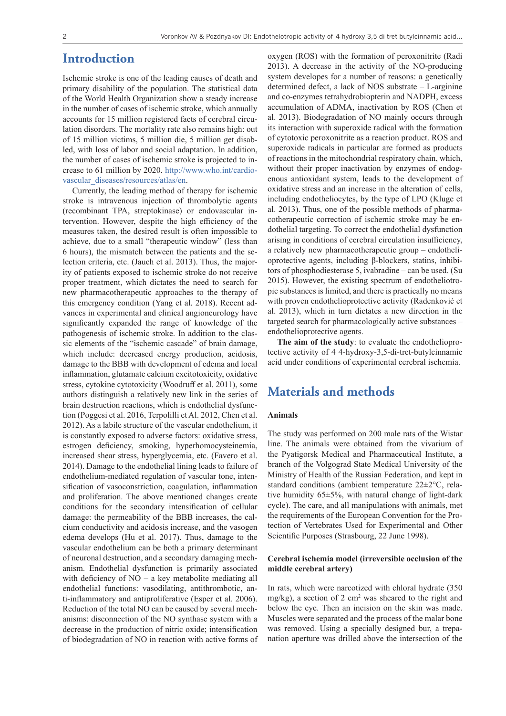## **Introduction**

Ischemic stroke is one of the leading causes of death and primary disability of the population. The statistical data of the World Health Organization show a steady increase in the number of cases of ischemic stroke, which annually accounts for 15 million registered facts of cerebral circulation disorders. The mortality rate also remains high: out of 15 million victims, 5 million die, 5 million get disabled, with loss of labor and social adaptation. In addition, the number of cases of ischemic stroke is projected to increase to 61 million by 2020. [http://www.who.int/cardio](http://www.who.int/cardiovascular_diseases/resources/atlas/en)[vascular\\_diseases/resources/atlas/en.](http://www.who.int/cardiovascular_diseases/resources/atlas/en)

Currently, the leading method of therapy for ischemic stroke is intravenous injection of thrombolytic agents (recombinant TPA, streptokinase) or endovascular intervention. However, despite the high efficiency of the measures taken, the desired result is often impossible to achieve, due to a small "therapeutic window" (less than 6 hours), the mismatch between the patients and the selection criteria, etc. (Jauch et al. 2013). Thus, the majority of patients exposed to ischemic stroke do not receive proper treatment, which dictates the need to search for new pharmacotherapeutic approaches to the therapy of this emergency condition (Yang et al. 2018). Recent advances in experimental and clinical angioneurology have significantly expanded the range of knowledge of the pathogenesis of ischemic stroke. In addition to the classic elements of the "ischemic cascade" of brain damage, which include: decreased energy production, acidosis, damage to the BBB with development of edema and local inflammation, glutamate calcium excitotoxicity, oxidative stress, cytokine cytotoxicity (Woodruff et al. 2011), some authors distinguish a relatively new link in the series of brain destruction reactions, which is endothelial dysfunction (Poggesi et al. 2016, Terpolilli et Al. 2012, Chen et al. 2012). As a labile structure of the vascular endothelium, it is constantly exposed to adverse factors: oxidative stress, estrogen deficiency, smoking, hyperhomocysteinemia, increased shear stress, hyperglycemia, etc. (Favero et al. 2014). Damage to the endothelial lining leads to failure of endothelium-mediated regulation of vascular tone, intensification of vasoconstriction, coagulation, inflammation and proliferation. The above mentioned changes create conditions for the secondary intensification of cellular damage: the permeability of the BBB increases, the calcium conductivity and acidosis increase, and the vasogen edema develops (Hu et al. 2017). Thus, damage to the vascular endothelium can be both a primary determinant of neuronal destruction, and a secondary damaging mechanism. Endothelial dysfunction is primarily associated with deficiency of  $NO - a$  key metabolite mediating all endothelial functions: vasodilating, antithrombotic, anti-inflammatory and antiproliferative (Esper et al. 2006). Reduction of the total NO can be caused by several mechanisms: disconnection of the NO synthase system with a decrease in the production of nitric oxide; intensification of biodegradation of NO in reaction with active forms of

oxygen (ROS) with the formation of peroxonitrite (Radi 2013). A decrease in the activity of the NO-producing system developes for a number of reasons: a genetically determined defect, a lack of NOS substrate – L-arginine and co-enzymes tetrahydrobiopterin and NADPH, excess accumulation of ADMA, inactivation by ROS (Chen et al. 2013). Biodegradation of NO mainly occurs through its interaction with superoxide radical with the formation of cytotoxic peroxonitrite as a reaction product. ROS and superoxide radicals in particular are formed as products of reactions in the mitochondrial respiratory chain, which, without their proper inactivation by enzymes of endogenous antioxidant system, leads to the development of oxidative stress and an increase in the alteration of cells, including endotheliocytes, by the type of LPO (Kluge et al. 2013). Thus, one of the possible methods of pharmacotherapeutic correction of ischemic stroke may be endothelial targeting. To correct the endothelial dysfunction arising in conditions of cerebral circulation insufficiency, a relatively new pharmacotherapeutic group – endothelioprotective agents, including β-blockers, statins, inhibitors of phosphodiesterase 5, ivabradine – can be used. (Su 2015). However, the existing spectrum of endotheliotropic substances is limited, and there is practically no means with proven endothelioprotective activity (Radenković et al. 2013), which in turn dictates a new direction in the targeted search for pharmacologically active substances – endothelioprotective agents.

**The aim of the study**: to evaluate the endothelioprotective activity of 4 4-hydroxy-3,5-di-tret-butylcinnamic acid under conditions of experimental cerebral ischemia.

## **Materials and methods**

### **Animals**

The study was performed on 200 male rats of the Wistar line. The animals were obtained from the vivarium of the Pyatigorsk Medical and Pharmaceutical Institute, a branch of the Volgograd State Medical University of the Ministry of Health of the Russian Federation, and kept in standard conditions (ambient temperature 22±2°C, relative humidity  $65\pm5\%$ , with natural change of light-dark cycle). The care, and all manipulations with animals, met the requirements of the European Convention for the Protection of Vertebrates Used for Experimental and Other Scientific Purposes (Strasbourg, 22 June 1998).

### **Cerebral ischemia model (irreversible occlusion of the middle cerebral artery)**

In rats, which were narcotized with chloral hydrate (350 mg/kg), a section of 2  $\text{cm}^2$  was sheared to the right and below the eye. Then an incision on the skin was made. Muscles were separated and the process of the malar bone was removed. Using a specially designed bur, a trepanation aperture was drilled above the intersection of the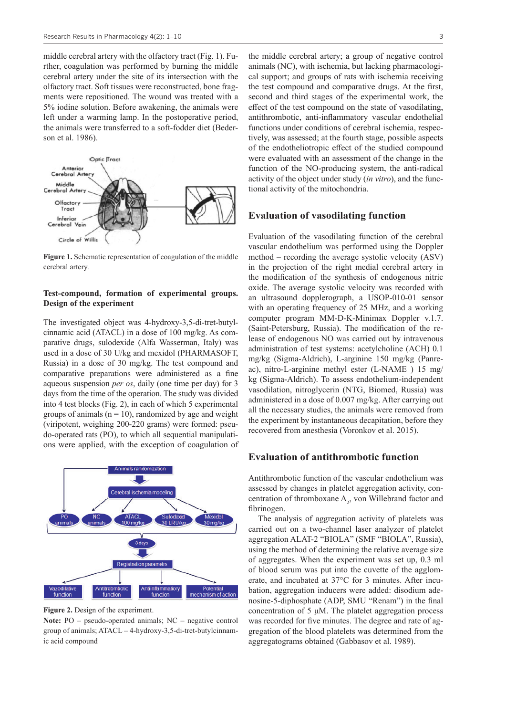middle cerebral artery with the olfactory tract (Fig. 1). Further, coagulation was performed by burning the middle cerebral artery under the site of its intersection with the olfactory tract. Soft tissues were reconstructed, bone fragments were repositioned. The wound was treated with a 5% iodine solution. Before awakening, the animals were left under a warming lamp. In the postoperative period, the animals were transferred to a soft-fodder diet (Bederson et al. 1986).



**Figure 1.** Schematic representation of coagulation of the middle cerebral artery.

### **Test-compound, formation of experimental groups. Design of the experiment**

The investigated object was 4-hydroxy-3,5-di-tret-butylcinnamic acid (ATACL) in a dose of 100 mg/kg. As comparative drugs, sulodexide (Alfa Wasserman, Italy) was used in a dose of 30 U/kg and mexidol (PHARMASOFT, Russia) in a dose of 30 mg/kg. The test compound and comparative preparations were administered as a fine aqueous suspension *per os*, daily (one time per day) for 3 days from the time of the operation. The study was divided into 4 test blocks (Fig. 2), in each of which 5 experimental groups of animals ( $n = 10$ ), randomized by age and weight (viripotent, weighing 200-220 grams) were formed: pseudo-operated rats (PO), to which all sequential manipulations were applied, with the exception of coagulation of



**Figure 2.** Design of the experiment.

**Note:** PO – pseudo-operated animals; NC – negative control group of animals; ATACL – 4-hydroxy-3,5-di-tret-butylcinnamic acid compound

the middle cerebral artery; a group of negative control animals (NC), with ischemia, but lacking pharmacological support; and groups of rats with ischemia receiving the test compound and comparative drugs. At the first, second and third stages of the experimental work, the effect of the test compound on the state of vasodilating, antithrombotic, anti-inflammatory vascular endothelial functions under conditions of cerebral ischemia, respectively, was assessed; at the fourth stage, possible aspects of the endotheliotropic effect of the studied compound were evaluated with an assessment of the change in the function of the NO-producing system, the anti-radical activity of the object under study (*in vitro*), and the functional activity of the mitochondria.

### **Evaluation of vasodilating function**

Evaluation of the vasodilating function of the cerebral vascular endothelium was performed using the Doppler method – recording the average systolic velocity (ASV) in the projection of the right medial cerebral artery in the modification of the synthesis of endogenous nitric oxide. The average systolic velocity was recorded with an ultrasound dopplerograph, a USOP-010-01 sensor with an operating frequency of 25 MHz, and a working computer program MM-D-K-Minimax Doppler v.1.7. (Saint-Petersburg, Russia). The modification of the release of endogenous NO was carried out by intravenous administration of test systems: acetylcholine (ACH) 0.1 mg/kg (Sigma-Aldrich), L-arginine 150 mg/kg (Panreac), nitro-L-arginine methyl ester (L-NAME ) 15 mg/ kg (Sigma-Aldrich). To assess endothelium-independent vasodilation, nitroglycerin (NTG, Biomed, Russia) was administered in a dose of 0.007 mg/kg. After carrying out all the necessary studies, the animals were removed from the experiment by instantaneous decapitation, before they recovered from anesthesia (Voronkov et al. 2015).

### **Evaluation of antithrombotic function**

Antithrombotic function of the vascular endothelium was assessed by changes in platelet aggregation activity, concentration of thromboxane  $A_2$ , von Willebrand factor and fibrinogen.

The analysis of aggregation activity of platelets was carried out on a two-channel laser analyzer of platelet aggregation ALAT-2 "BIOLA" (SMF "BIOLA", Russia), using the method of determining the relative average size of aggregates. When the experiment was set up, 0.3 ml of blood serum was put into the cuvette of the agglomerate, and incubated at 37°C for 3 minutes. After incubation, aggregation inducers were added: disodium adenosine-5-diphosphate (ADP, SMU "Renam") in the final concentration of 5 μM. The platelet aggregation process was recorded for five minutes. The degree and rate of aggregation of the blood platelets was determined from the aggregatograms obtained (Gabbasov et al. 1989).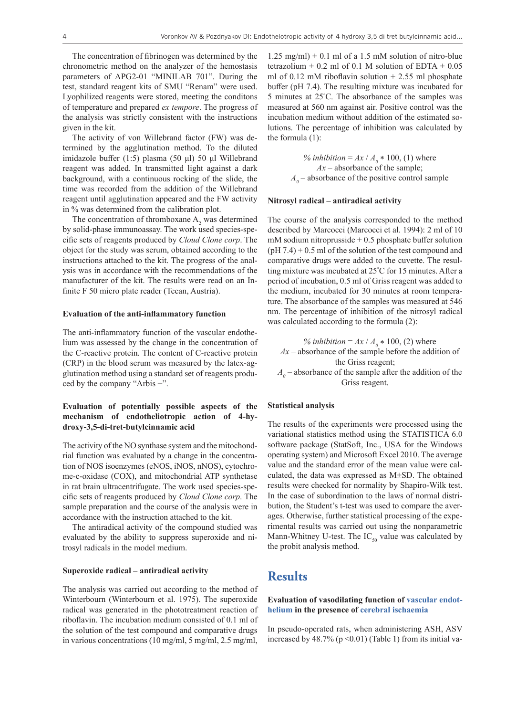The concentration of fibrinogen was determined by the chronometric method on the analyzer of the hemostasis parameters of APG2-01 "MINILAB 701". During the test, standard reagent kits of SMU "Renam" were used. Lyophilized reagents were stored, meeting the conditons of temperature and prepared *ex tempore*. The progress of the analysis was strictly consistent with the instructions given in the kit.

The activity of von Willebrand factor (FW) was determined by the agglutination method. To the diluted imidazole buffer (1:5) plasma (50 μl) 50 μl Willebrand reagent was added. In transmitted light against a dark background, with a continuous rocking of the slide, the time was recorded from the addition of the Willebrand reagent until agglutination appeared and the FW activity in % was determined from the calibration plot.

The concentration of thromboxane  $A_2$  was determined by solid-phase immunoassay. The work used species-specific sets of reagents produced by *Cloud Clone corp*. The object for the study was serum, obtained according to the instructions attached to the kit. The progress of the analysis was in accordance with the recommendations of the manufacturer of the kit. The results were read on an Infinite F 50 micro plate reader (Tecan, Austria).

#### **Evaluation of the anti-inflammatory function**

The anti-inflammatory function of the vascular endothelium was assessed by the change in the concentration of the C-reactive protein. The content of C-reactive protein (CRP) in the blood serum was measured by the latex-agglutination method using a standard set of reagents produced by the company "Arbis +".

### **Evaluation of potentially possible aspects of the mechanism of endotheliotropic action of 4-hydroxy-3,5-di-tret-butylcinnamic acid**

The activity of the NO synthase system and the mitochondrial function was evaluated by a change in the concentration of NOS isoenzymes (eNOS, iNOS, nNOS), cytochrome-c-oxidase (COX), and mitochondrial ATP synthetase in rat brain ultracentrifugate. The work used species-specific sets of reagents produced by *Cloud Clone corp*. The sample preparation and the course of the analysis were in accordance with the instruction attached to the kit.

The antiradical activity of the compound studied was evaluated by the ability to suppress superoxide and nitrosyl radicals in the model medium.

### **Superoxide radical – antiradical activity**

The analysis was carried out according to the method of Winterbourn (Winterbourn et al. 1975). The superoxide radical was generated in the phototreatment reaction of riboflavin. The incubation medium consisted of 0.1 ml of the solution of the test compound and comparative drugs in various concentrations (10 mg/ml, 5 mg/ml, 2.5 mg/ml,

 $1.25$  mg/ml $) + 0.1$  ml of a 1.5 mM solution of nitro-blue tetrazolium + 0.2 ml of 0.1 M solution of EDTA +  $0.05$ ml of 0.12 mM riboflavin solution  $+ 2.55$  ml phosphate buffer (pH 7.4). The resulting mixture was incubated for 5 minutes at 25° C. The absorbance of the samples was measured at 560 nm against air. Positive control was the incubation medium without addition of the estimated solutions. The percentage of inhibition was calculated by the formula (1):

> % *inhibition* =  $Ax / A_0 * 100$ , (1) where *Ax* – absorbance of the sample;  $A_{\theta}$  – absorbance of the positive control sample

### **Nitrosyl radical – antiradical activity**

The course of the analysis corresponded to the method described by Marcocci (Marcocci et al. 1994): 2 ml of 10 mM sodium nitroprusside  $+ 0.5$  phosphate buffer solution  $(pH 7.4) + 0.5$  ml of the solution of the test compound and comparative drugs were added to the cuvette. The resulting mixture was incubated at 25° C for 15 minutes. After a period of incubation, 0.5 ml of Griss reagent was added to the medium, incubated for 30 minutes at room temperature. The absorbance of the samples was measured at 546 nm. The percentage of inhibition of the nitrosyl radical was calculated according to the formula (2):

% *inhibition* =  $Ax / A_0 * 100$ , (2) where *Ax* – absorbance of the sample before the addition of the Griss reagent;  $A_0$  – absorbance of the sample after the addition of the

## Griss reagent.

### **Statistical analysis**

The results of the experiments were processed using the variational statistics method using the STATISTICA 6.0 software package (StatSoft, Inc., USA for the Windows operating system) and Microsoft Excel 2010. The average value and the standard error of the mean value were calculated, the data was expressed as M±SD. The obtained results were checked for normality by Shapiro-Wilk test. In the case of subordination to the laws of normal distribution, the Student's t-test was used to compare the averages. Otherwise, further statistical processing of the experimental results was carried out using the nonparametric Mann-Whitney U-test. The  $IC_{50}$  value was calculated by the probit analysis method.

### **Results**

### **Evaluation of vasodilating function of [vascular endot](https://www.multitran.ru/c/m.exe?t=6333412_1_2&s1=%FD%ED%E4%EE%F2%E5%EB%E8%E9 %F1%EE%F1%F3%E4%EE%E2)[helium](https://www.multitran.ru/c/m.exe?t=6333412_1_2&s1=%FD%ED%E4%EE%F2%E5%EB%E8%E9 %F1%EE%F1%F3%E4%EE%E2) in the presence of [cerebral ischaemia](https://www.multitran.ru/c/m.exe?t=4648624_1_2&s1=%F6%E5%F0%E5%E1%F0%E0%EB%FC%ED%E0%FF %E8%F8%E5%EC%E8%FF)**

In pseudo-operated rats, when administering ASH, ASV increased by  $48.7\%$  (p < 0.01) (Table 1) from its initial va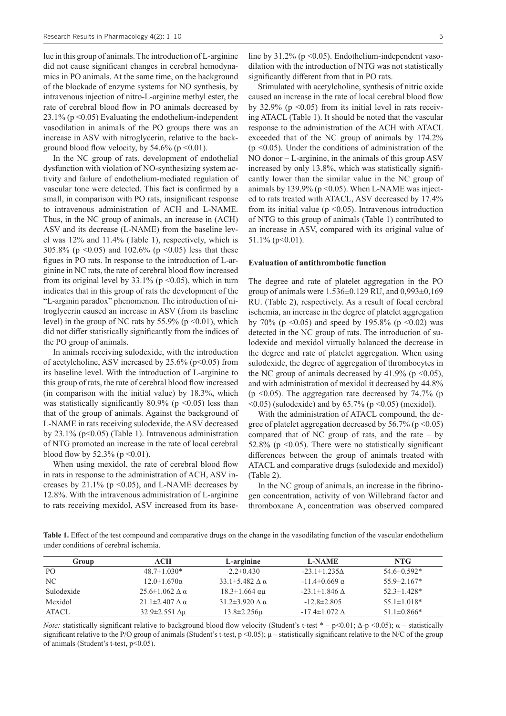lue in this group of animals. The introduction of L-arginine did not cause significant changes in cerebral hemodynamics in PO animals. At the same time, on the background of the blockade of enzyme systems for NO synthesis, by intravenous injection of nitro-L-arginine methyl ester, the rate of cerebral blood flow in PO animals decreased by  $23.1\%$  (p < 0.05) Evaluating the endothelium-independent vasodilation in animals of the PO groups there was an increase in ASV with nitroglycerin, relative to the background blood flow velocity, by 54.6% ( $p \le 0.01$ ).

In the NC group of rats, development of endothelial dysfunction with violation of NO-synthesizing system activity and failure of endothelium-mediated regulation of vascular tone were detected. This fact is confirmed by a small, in comparison with PO rats, insignificant response to intravenous administration of ACH and L-NAME. Thus, in the NC group of animals, an increase in (ACH) ASV and its decrease (L-NAME) from the baseline level was 12% and 11.4% (Table 1), respectively, which is 305.8% ( $p \le 0.05$ ) and 102.6% ( $p \le 0.05$ ) less that these figues in PO rats. In response to the introduction of L-arginine in NC rats, the rate of cerebral blood flow increased from its original level by  $33.1\%$  (p < 0.05), which in turn indicates that in this group of rats the development of the "L-arginin paradox" phenomenon. The introduction of nitroglycerin caused an increase in ASV (from its baseline level) in the group of NC rats by 55.9% ( $p \le 0.01$ ), which did not differ statistically significantly from the indices of the PO group of animals.

In animals receiving sulodexide, with the introduction of acetylcholine, ASV increased by  $25.6\%$  (p<0.05) from its baseline level. With the introduction of L-arginine to this group of rats, the rate of cerebral blood flow increased (in comparison with the initial value) by 18.3%, which was statistically significantly 80.9% ( $p \le 0.05$ ) less than that of the group of animals. Against the background of L-NAME in rats receiving sulodexide, the ASV decreased by 23.1% ( $p<0.05$ ) (Table 1). Intravenous administration of NTG promoted an increase in the rate of local cerebral blood flow by 52.3% ( $p \le 0.01$ ).

When using mexidol, the rate of cerebral blood flow in rats in response to the administration of ACH, ASV increases by  $21.1\%$  (p < 0.05), and L-NAME decreases by 12.8%. With the intravenous administration of L-arginine to rats receiving mexidol, ASV increased from its baseline by  $31.2\%$  (p < 0.05). Endothelium-independent vasodilation with the introduction of NTG was not statistically significantly different from that in PO rats.

Stimulated with acetylcholine, synthesis of nitric oxide caused an increase in the rate of local cerebral blood flow by 32.9% ( $p \le 0.05$ ) from its initial level in rats receiving ATACL (Table 1). It should be noted that the vascular response to the administration of the ACH with ATACL exceeded that of the NC group of animals by 174.2%  $(p \le 0.05)$ . Under the conditions of administration of the NO donor – L-arginine, in the animals of this group ASV increased by only 13.8%, which was statistically significantly lower than the similar value in the NC group of animals by 139.9% ( $p \le 0.05$ ). When L-NAME was injected to rats treated with ATACL, ASV decreased by 17.4% from its initial value ( $p \le 0.05$ ). Intravenous introduction of NTG to this group of animals (Table 1) contributed to an increase in ASV, compared with its original value of  $51.1\%$  (p  $0.01$ ).

### **Evaluation of antithrombotic function**

The degree and rate of platelet aggregation in the PO group of animals were 1.536±0.129 RU, and 0,993±0,169 RU. (Table 2), respectively. As a result of focal cerebral ischemia, an increase in the degree of platelet aggregation by 70% (p <0.05) and speed by 195.8% (p <0.02) was detected in the NC group of rats. The introduction of sulodexide and mexidol virtually balanced the decrease in the degree and rate of platelet aggregation. When using sulodexide, the degree of aggregation of thrombocytes in the NC group of animals decreased by  $41.9\%$  (p < 0.05), and with administration of mexidol it decreased by 44.8% ( $p \le 0.05$ ). The aggregation rate decreased by 74.7% ( $p$  $(0.05)$  (sulodexide) and by 65.7% (p $(0.05)$  (mexidol).

With the administration of ATACL compound, the degree of platelet aggregation decreased by  $56.7\%$  (p < 0.05) compared that of NC group of rats, and the rate – by 52.8% ( $p \le 0.05$ ). There were no statistically significant differences between the group of animals treated with ATACL and comparative drugs (sulodexide and mexidol) (Table 2).

In the NC group of animals, an increase in the fibrinogen concentration, activity of von Willebrand factor and thromboxane A<sub>2</sub> concentration was observed compared

Table 1. Effect of the test compound and comparative drugs on the change in the vasodilating function of the vascular endothelium under conditions of cerebral ischemia.

| Group      | ACH                            | L-arginine                         | <b>L-NAME</b>            | NTG               |
|------------|--------------------------------|------------------------------------|--------------------------|-------------------|
| PO         | $48.7 \pm 1.030*$              | $-2.2 \pm 0.430$                   | $-23.1 \pm 1.235 \Delta$ | $54.6 \pm 0.592*$ |
| NC.        | $12.0 \pm 1.670\alpha$         | 33.1 $\pm$ 5.482 $\wedge$ $\alpha$ | $-11.4\pm0.669$ α        | $55.9 \pm 2.167*$ |
| Sulodexide | $25.6 \pm 1.062 \wedge \alpha$ | $18.3 \pm 1.664$ αμ                | $-23.1 \pm 1.846$ A      | $52.3 \pm 1.428*$ |
| Mexidol    | $21.1\pm2.407 \Delta \alpha$   | $31.2\pm3.920 \wedge \alpha$       | $-12.8 \pm 2.805$        | $55.1 \pm 1.018*$ |
| ATACL      | $32.9 \pm 2.551 \Delta \mu$    | $13.8 \pm 2.256 \mu$               | $-17.4 \pm 1.072 \Delta$ | $51.1 \pm 0.866*$ |

*Note:* statistically significant relative to background blood flow velocity (Student's t-test  $* - p \lt 0.01$ ;  $\Delta-p \lt 0.05$ );  $\alpha$  – statistically significant relative to the P/O group of animals (Student's t-test,  $p \le 0.05$ );  $\mu$  – statistically significant relative to the N/C of the group of animals (Student's t-test, p<0.05).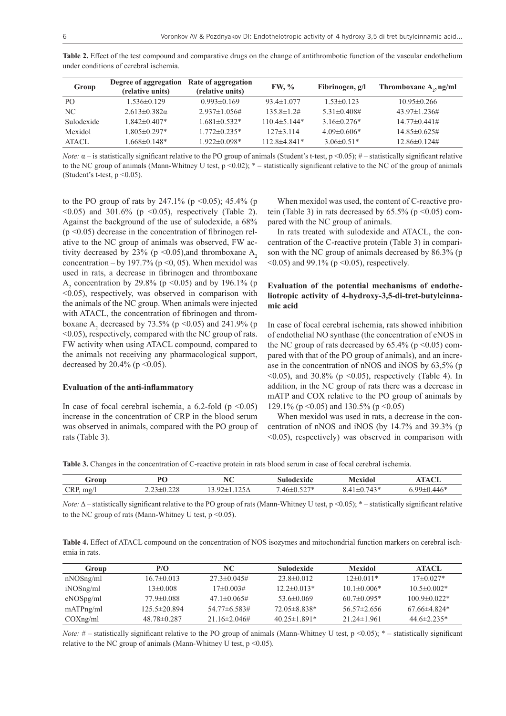| Group           | Degree of aggregation<br>(relative units) | Rate of aggregation<br>(relative units) | <b>FW, %</b>       | Fibrinogen, $g/I$        | Thromboxane A,, ng/ml       |
|-----------------|-------------------------------------------|-----------------------------------------|--------------------|--------------------------|-----------------------------|
| PO <sub>1</sub> | $1.536\pm0.129$                           | $0.993\pm0.169$                         | $93.4 \pm 1.077$   | $1.53 \pm 0.123$         | $10.95 \pm 0.266$           |
| NC              | $2.613 \pm 0.382\alpha$                   | $2.937 \pm 1.056 \#$                    | $135.8 \pm 1.2$ #  | $5.31 \pm 0.408 \pm 1.5$ | $43.97 \pm 1.236 \#$        |
| Sulodexide      | $1.842\pm0.407*$                          | $1.681 \pm 0.532$ *                     | $110.4 \pm 5.144*$ | $3.16\pm0.276*$          | $14.77\pm0.441\#$           |
| Mexidol         | $1.805 \pm 0.297*$                        | $1.772 \pm 0.235$ *                     | $127\pm3.114$      | $4.09\pm0.606*$          | $14.85\pm0.625\#$           |
| ATACL           | $1.668 \pm 0.148*$                        | $1.922 \pm 0.098*$                      | $112.8\pm4.841*$   | $3.06\pm0.51*$           | $12.86 \pm 0.124 \pm 1.001$ |

**Table 2.** Effect of the test compound and comparative drugs on the change of antithrombotic function of the vascular endothelium under conditions of cerebral ischemia.

*Note:*  $\alpha$  – is statistically significant relative to the PO group of animals (Student's t-test,  $p$  <0.05);  $\#$  – statistically significant relative to the NC group of animals (Mann-Whitney U test, p <0.02); \* – statistically significant relative to the NC of the group of animals (Student's t-test,  $p \le 0.05$ ).

to the PO group of rats by 247.1% ( $p \le 0.05$ ); 45.4% (p  $(0.05)$  and 301.6% (p  $(0.05)$ , respectively (Table 2). Against the background of the use of sulodexide, a 68%  $(p \le 0.05)$  decrease in the concentration of fibrinogen relative to the NC group of animals was observed, FW activity decreased by 23% ( $p \le 0.05$ ), and thromboxane A<sub>2</sub> concentration – by 197.7% ( $p \le 0$ , 05). When mexidol was used in rats, a decrease in fibrinogen and thromboxane  $A_2$  concentration by 29.8% (p < 0.05) and by 196.1% (p  $\leq$ 0.05), respectively, was observed in comparison with the animals of the NC group. When animals were injected with ATACL, the concentration of fibrinogen and thromboxane  $A_2$  decreased by 73.5% (p <0.05) and 241.9% (p <0.05), respectively, compared with the NC group of rats. FW activity when using ATACL compound, compared to the animals not receiving any pharmacological support, decreased by 20.4% ( $p \le 0.05$ ).

### **Evaluation of the anti-inflammatory**

In case of focal cerebral ischemia, a  $6.2$ -fold (p <0.05) increase in the concentration of CRP in the blood serum was observed in animals, compared with the PO group of rats (Table 3).

When mexidol was used, the content of C-reactive protein (Table 3) in rats decreased by  $65.5\%$  (p < 0.05) compared with the NC group of animals.

In rats treated with sulodexide and ATACL, the concentration of the C-reactive protein (Table 3) in comparison with the NC group of animals decreased by 86.3% (p  $(0.05)$  and 99.1% (p $(0.05)$ , respectively.

### **Evaluation of the potential mechanisms of endotheliotropic activity of 4-hydroxy-3,5-di-tret-butylcinnamic acid**

In case of focal cerebral ischemia, rats showed inhibition of endothelial NO synthase (the concentration of eNOS in the NC group of rats decreased by  $65.4\%$  (p  $\leq 0.05$ ) compared with that of the PO group of animals), and an increase in the concentration of nNOS and iNOS by 63,5% (p  $(0.05)$ , and 30.8% (p  $(0.05)$ , respectively (Table 4). In addition, in the NC group of rats there was a decrease in mATP and COX relative to the PO group of animals by 129.1% (p <0.05) and 130.5% (p <0.05)

When mexidol was used in rats, a decrease in the concentration of nNOS and iNOS (by 14.7% and 39.3% (p <0.05), respectively) was observed in comparison with

**Table 3.** Changes in the concentration of C-reactive protein in rats blood serum in case of focal cerebral ischemia.

| Group       | DC<br>◡       | <b>NT</b><br>◥◟       | .1de         | exidol<br>. | $\sim$<br>$-$ |
|-------------|---------------|-----------------------|--------------|-------------|---------------|
| CRP,<br>mg/ | -0.440<br>--- | $\sim$ $\sim$<br>LZDΔ | $  +$<br>4Ւ։ |             | OO.           |

*Note:* Δ – statistically significant relative to the PO group of rats (Mann-Whitney U test, p <0.05); \* – statistically significant relative to the NC group of rats (Mann-Whitney U test,  $p \le 0.05$ ).

**Table 4.** Effect of ATACL compound on the concentration of NOS isozymes and mitochondrial function markers on cerebral ischemia in rats.

| Group     | P/O                | NC.                        | <b>Sulodexide</b>  | Mexidol           | ATACL              |
|-----------|--------------------|----------------------------|--------------------|-------------------|--------------------|
| nNOSng/ml | $16.7 \pm 0.013$   | $27.3 \pm 0.045 \pm 1.002$ | $23.8 \pm 0.012$   | $12\pm0.011*$     | $17\pm0.027*$      |
| iNOSng/ml | $13\pm0.008$       | $17\pm0.003\#$             | $12.2 \pm 0.013*$  | $10.1 \pm 0.006*$ | $10.5 \pm 0.002*$  |
| eNOSpg/ml | 77.9±0.088         | $47.1 \pm 0.065 \#$        | $53.6 \pm 0.069$   | $60.7 \pm 0.095*$ | $100.9 \pm 0.022*$ |
| mATPng/ml | $125.5 \pm 20.894$ | $54.77\pm 6.583\#$         | $72.05 \pm 8.838*$ | $56.57 \pm 2.656$ | $67.66\pm4.824*$   |
| COXng/ml  | $48.78 \pm 0.287$  | 21.16±2.046#               | $40.25 \pm 1.891*$ | $21.24 \pm 1.961$ | $44.6 \pm 2.235*$  |

*Note:*  $#$  – statistically significant relative to the PO group of animals (Mann-Whitney U test,  $p \le 0.05$ );  $*$  – statistically significant relative to the NC group of animals (Mann-Whitney U test,  $p \le 0.05$ ).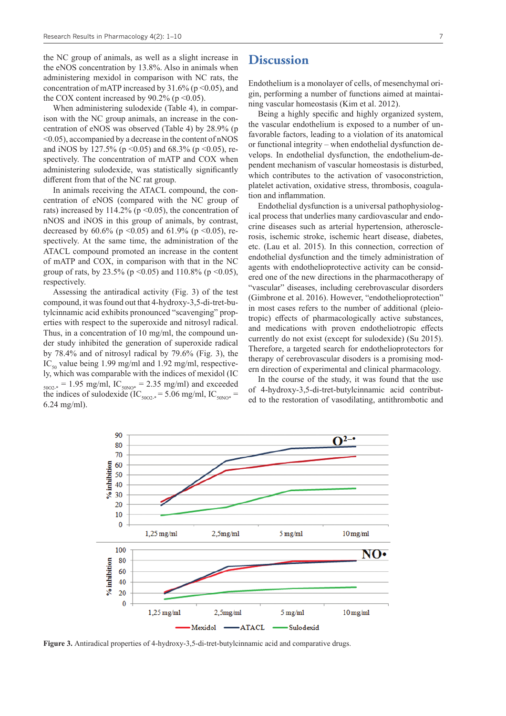the NC group of animals, as well as a slight increase in the eNOS concentration by 13.8%. Also in animals when administering mexidol in comparison with NC rats, the concentration of mATP increased by  $31.6\%$  (p < 0.05), and the COX content increased by  $90.2\%$  (p < 0.05).

When administering sulodexide (Table 4), in comparison with the NC group animals, an increase in the concentration of eNOS was observed (Table 4) by 28.9% (p <0.05), accompanied by a decrease in the content of nNOS and iNOS by 127.5% ( $p \le 0.05$ ) and 68.3% ( $p \le 0.05$ ), respectively. The concentration of mATP and COX when administering sulodexide, was statistically significantly different from that of the NC rat group.

In animals receiving the ATACL compound, the concentration of eNOS (compared with the NC group of rats) increased by 114.2% ( $p \le 0.05$ ), the concentration of nNOS and iNOS in this group of animals, by contrast, decreased by 60.6% (p <0.05) and 61.9% (p <0.05), respectively. At the same time, the administration of the ATACL compound promoted an increase in the content of mATP and COX, in comparison with that in the NC group of rats, by 23.5% ( $p \le 0.05$ ) and 110.8% ( $p \le 0.05$ ), respectively.

Assessing the antiradical activity (Fig. 3) of the test compound, it was found out that 4-hydroxy-3,5-di-tret-butylcinnamic acid exhibits pronounced "scavenging" properties with respect to the superoxide and nitrosyl radical. Thus, in a concentration of 10 mg/ml, the compound under study inhibited the generation of superoxide radical by 78.4% and of nitrosyl radical by 79.6% (Fig. 3), the  $IC_{50}$  value being 1.99 mg/ml and 1.92 mg/ml, respectively, which was comparable with the indices of mexidol (IC  $_{5002*}$  = 1.95 mg/ml, IC<sub>50NO\*</sub> = 2.35 mg/ml) and exceeded the indices of sulodexide (IC<sub>50O2-\*</sub> = 5.06 mg/ml, IC<sub>50NO\*</sub> = 6.24 mg/ml).

### **Discussion**

Endothelium is a monolayer of cells, of mesenchymal origin, performing a number of functions aimed at maintaining vascular homeostasis (Kim et al. 2012).

Being a highly specific and highly organized system, the vascular endothelium is exposed to a number of unfavorable factors, leading to a violation of its anatomical or functional integrity – when endothelial dysfunction develops. In endothelial dysfunction, the endothelium-dependent mechanism of vascular homeostasis is disturbed, which contributes to the activation of vasoconstriction, platelet activation, oxidative stress, thrombosis, coagulation and inflammation.

Endothelial dysfunction is a universal pathophysiological process that underlies many cardiovascular and endocrine diseases such as arterial hypertension, atherosclerosis, ischemic stroke, ischemic heart disease, diabetes, etc. (Lau et al. 2015). In this connection, correction of endothelial dysfunction and the timely administration of agents with endothelioprotective activity can be considered one of the new directions in the pharmacotherapy of "vascular" diseases, including cerebrovascular disorders (Gimbrone et al. 2016). However, "endothelioprotection" in most cases refers to the number of additional (pleiotropic) effects of pharmacologically active substances, and medications with proven endotheliotropic effects currently do not exist (except for sulodexide) (Su 2015). Therefore, a targeted search for endothelioprotectors for therapy of cerebrovascular disoders is a promising modern direction of experimental and clinical pharmacology.

In the course of the study, it was found that the use of 4-hydroxy-3,5-di-tret-butylcinnamic acid contributed to the restoration of vasodilating, antithrombotic and



**Figure 3.** Antiradical properties of 4-hydroxy-3,5-di-tret-butylcinnamic acid and comparative drugs.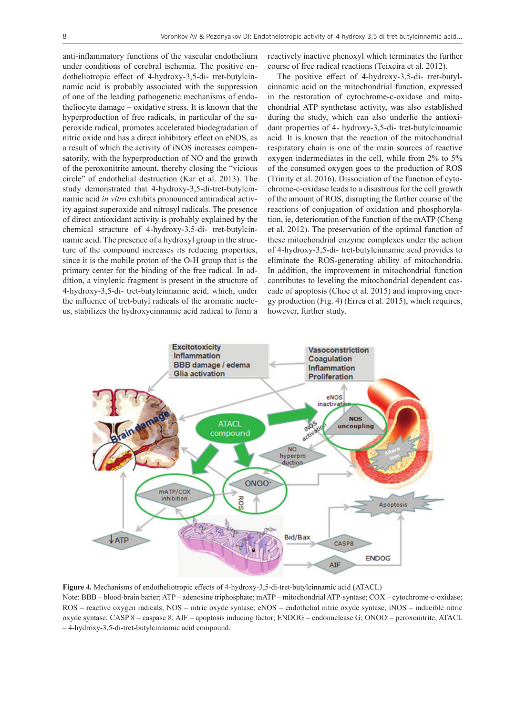anti-inflammatory functions of the vascular endothelium under conditions of cerebral ischemia. The positive endotheliotropic effect of 4-hydroxy-3,5-di- tret-butylcinnamic acid is probably associated with the suppression of one of the leading pathogenetic mechanisms of endotheliocyte damage – oxidative stress. It is known that the hyperproduction of free radicals, in particular of the superoxide radical, promotes accelerated biodegradation of nitric oxide and has a direct inhibitory effect on eNOS, as a result of which the activity of iNOS increases compensatorily, with the hyperproduction of NO and the growth of the peroxonitrite amount, thereby closing the "vicious circle" of endothelial destruction (Kar et al. 2013). The study demonstrated that 4-hydroxy-3,5-di-tret-butylcinnamic acid *in vitro* exhibits pronounced antiradical activity against superoxide and nitrosyl radicals. The presence of direct antioxidant activity is probably explained by the chemical structure of 4-hydroxy-3,5-di- tret-butylcinnamic acid. The presence of a hydroxyl group in the structure of the compound increases its reducing properties, since it is the mobile proton of the O-H group that is the primary center for the binding of the free radical. In addition, a vinylenic fragment is present in the structure of 4-hydroxy-3,5-di- tret-butylcinnamic acid, which, under the influence of tret-butyl radicals of the aromatic nucleus, stabilizes the hydroxycinnamic acid radical to form a

reactively inactive phenoxyl which terminates the further course of free radical reactions (Teixeira et al. 2012).

The positive effect of 4-hydroxy-3,5-di- tret-butylcinnamic acid on the mitochondrial function, expressed in the restoration of cytochrome-c-oxidase and mitochondrial ATP synthetase activity, was also established during the study, which can also underlie the antioxidant properties of 4- hydroxy-3,5-di- tret-butylcinnamic acid. It is known that the reaction of the mitochondrial respiratory chain is one of the main sources of reactive oxygen indermediates in the cell, while from 2% to 5% of the consumed oxygen goes to the production of ROS (Trinity et al. 2016). Dissociation of the function of cytochrome-c-oxidase leads to a disastrous for the cell growth of the amount of ROS, disrupting the further course of the reactions of conjugation of oxidation and phosphorylation, ie, deterioration of the function of the mATP (Cheng et al. 2012). The preservation of the optimal function of these mitochondrial enzyme complexes under the action of 4-hydroxy-3,5-di- tret-butylcinnamic acid provides to eliminate the ROS-generating ability of mitochondria. In addition, the improvement in mitochondrial function contributes to leveling the mitochondrial dependent cascade of apoptosis (Choe et al. 2015) and improving energy production (Fig. 4) (Errea et al. 2015), which requires, however, further study.



**Figure 4.** Mechanisms of endotheliotropic effects of 4-hydroxy-3,5-di-tret-butylcinnamic acid (ATACL) Note: BBB – blood-brain barier; ATP – adenosine triphosphate; mATP – mitochondrial ATP-syntase; COX – cytochrome-c-oxidase; ROS – reactive oxygen radicals; NOS – nitric oxyde syntase; eNOS – endothelial nitric oxyde syntase; iNOS – inducible nitric oxyde syntase; CASP 8 – caspase 8; AIF – apoptosis inducing factor; ENDOG – endonuclease G; ONOO- – peroxonitrite; ATACL – 4-hydroxy-3,5-di-tret-butylcinnamic acid compound.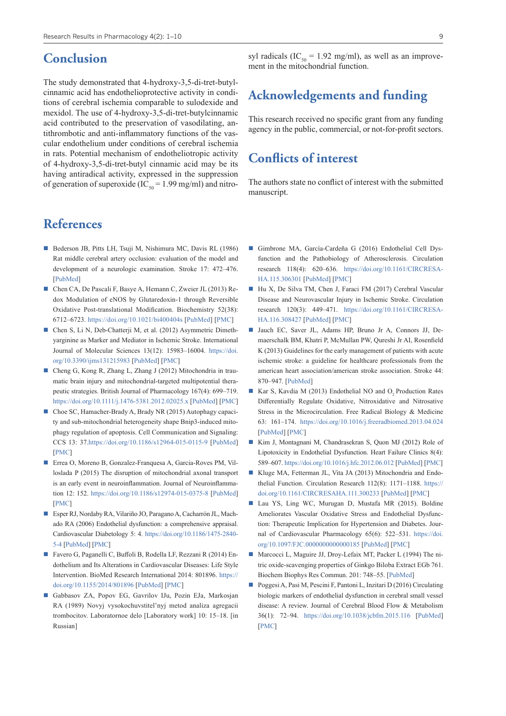## **Conclusion**

The study demonstrated that 4-hydroxy-3,5-di-tret-butylcinnamic acid has endothelioprotective activity in conditions of cerebral ischemia comparable to sulodexide and mexidol. The use of 4-hydroxy-3,5-di-tret-butylcinnamic acid contributed to the preservation of vasodilating, antithrombotic and anti-inflammatory functions of the vascular endothelium under conditions of cerebral ischemia in rats. Potential mechanism of endotheliotropic activity of 4-hydroxy-3,5-di-tret-butyl cinnamic acid may be its having antiradical activity, expressed in the suppression of generation of superoxide (IC<sub>50</sub> = 1.99 mg/ml) and nitro-

## **References**

- Bederson JB, Pitts LH, Tsuji M, Nishimura MC, Davis RL (1986) Rat middle cerebral artery occlusion: evaluation of the model and development of a neurologic examination. Stroke 17: 472–476. [\[PubMed](https://www.ncbi.nlm.nih.gov/pubmed/3715945)]
- Chen CA, De Pascali F, Basye A, Hemann C, Zweier JL (2013) Redox Modulation of eNOS by Glutaredoxin-1 through Reversible Oxidative Post-translational Modification. Biochemistry 52(38): 6712–6723.<https://doi.org/10.1021/bi400404s>[[PubMed](https://www.ncbi.nlm.nih.gov/pubmed/?term=Redox+Modulation+of+eNOS+by+Glutaredoxin-1+through+Reversible+Oxidative+Post-translational+Modification.)] [[PMC](https://www.ncbi.nlm.nih.gov/pmc/articles/PMC3813969/)]
- Chen S, Li N, Deb-Chatterji M, et al. (2012) Asymmetric Dimethyarginine as Marker and Mediator in Ischemic Stroke. International Journal of Molecular Sciences 13(12): 15983–16004. [https://doi.](https://doi.org/10.3390/ijms131215983) [org/10.3390/ijms131215983](https://doi.org/10.3390/ijms131215983) [[PubMed\]](https://www.ncbi.nlm.nih.gov/pubmed/?term=Asymmetric+Dimethyarginine+as+Marker+and+Mediator+in+Ischemic+Stroke) [\[PMC](https://www.ncbi.nlm.nih.gov/pmc/articles/PMC3546674/)]
- Cheng G, Kong R, Zhang L, Zhang J (2012) Mitochondria in traumatic brain injury and mitochondrial-targeted multipotential therapeutic strategies. British Journal of Pharmacology 167(4): 699–719. <https://doi.org/10.1111/j.1476-5381.2012.02025.x>[\[PubMed](https://www.ncbi.nlm.nih.gov/pubmed/?term=Mitochondria+in+traumatic+brain+injury+and+mitochondrial-targeted+multipotential+therapeutic+strategies)] [[PMC\]](https://www.ncbi.nlm.nih.gov/pmc/articles/PMC3575772/)
- Choe SC, Hamacher-Brady A, Brady NR (2015) Autophagy capacity and sub-mitochondrial heterogeneity shape Bnip3-induced mitophagy regulation of apoptosis. Cell Communication and Signaling: CCS 13: 37.<https://doi.org/10.1186/s12964-015-0115-9> [\[PubMed\]](https://www.ncbi.nlm.nih.gov/pubmed/?term=Autophagy+capacity+and+sub-mitochondrial+heterogeneity+shape+Bnip3-induced+mitophagy+regulation+of+apoptosis) [\[PMC](https://www.ncbi.nlm.nih.gov/pmc/articles/PMC4528699/)]
- Errea O, Moreno B, Gonzalez-Franquesa A, Garcia-Roves PM, Villoslada P (2015) The disruption of mitochondrial axonal transport is an early event in neuroinflammation. Journal of Neuroinflammation 12: 152. <https://doi.org/10.1186/s12974-015-0375-8> [[PubMed\]](https://www.ncbi.nlm.nih.gov/pubmed/26310930) [\[PMC\]](https://www.ncbi.nlm.nih.gov/pmc/articles/PMC4551771/)
- Esper RJ, Nordaby RA, Vilariño JO, Paragano A, Cacharrón JL, Machado RA (2006) Endothelial dysfunction: a comprehensive appraisal. Cardiovascular Diabetology 5: 4. [https://doi.org/10.1186/1475-2840-](https://doi.org/10.1186/1475-2840-5-4) [5-4](https://doi.org/10.1186/1475-2840-5-4) [\[PubMed\]](https://www.ncbi.nlm.nih.gov/pubmed/16504104) [[PMC\]](https://www.ncbi.nlm.nih.gov/pmc/articles/PMC3955677/)
- Favero G, Paganelli C, Buffoli B, Rodella LF, Rezzani R (2014) Endothelium and Its Alterations in Cardiovascular Diseases: Life Style Intervention. BioMed Research International 2014: 801896. [https://](https://doi.org/10.1155/2014/801896) [doi.org/10.1155/2014/801896](https://doi.org/10.1155/2014/801896) [\[PubMed](https://www.ncbi.nlm.nih.gov/pubmed/24719887)] [[PMC](https://www.ncbi.nlm.nih.gov/pmc/articles/PMC3955677/)]
- Gabbasov ZA, Popov EG, Gavrilov IJu, Pozin EJa, Markosjan RA (1989) Novyj vysokochuvstitel'nyj metod analiza agregacii trombocitov. Laboratornoe delo [Laboratory work] 10: 15–18. [in Russian]

syl radicals (IC<sub>50</sub> = 1.92 mg/ml), as well as an improvement in the mitochondrial function.

## **Acknowledgements and funding**

This research received no specific grant from any funding agency in the public, commercial, or not-for-profit sectors.

## **Conflicts of interest**

The authors state no conflict of interest with the submitted manuscript.

- Gimbrone MA, García-Cardeña G (2016) Endothelial Cell Dysfunction and the Pathobiology of Atherosclerosis. Circulation research 118(4): 620–636. [https://doi.org/10.1161/CIRCRESA](https://doi.org/10.1161/CIRCRESAHA.115.306301)-[HA.115.306301](https://doi.org/10.1161/CIRCRESAHA.115.306301) [[PubMed\]](https://www.ncbi.nlm.nih.gov/pubmed/26892962) [\[PMC\]](https://www.ncbi.nlm.nih.gov/pmc/articles/PMC4762052/)
- Hu X, De Silva TM, Chen J, Faraci FM (2017) Cerebral Vascular Disease and Neurovascular Injury in Ischemic Stroke. Circulation research 120(3): 449–471. [https://doi.org/10.1161/CIRCRESA](https://doi.org/10.1161/CIRCRESAHA.116.308427)-[HA.116.308427](https://doi.org/10.1161/CIRCRESAHA.116.308427) [[PubMed\]](https://www.ncbi.nlm.nih.gov/pubmed/28154097) [\[PMC\]](https://www.ncbi.nlm.nih.gov/pmc/articles/PMC5313039/)
- Jauch EC, Saver JL, Adams HP, Bruno Jr A, Connors JJ, Demaerschalk BM, Khatri P, McMullan PW, Qureshi Jr AI, Rosenfield K (2013) Guidelines for the early management of patients with acute ischemic stroke: a guideline for healthcare professionals from the american heart association/american stroke association. Stroke 44: 870–947. [\[PubMed](https://www.ncbi.nlm.nih.gov/pubmed/23370205)]
- Kar S, Kavdia M (2013) Endothelial NO and O<sub>2</sub> Production Rates Differentially Regulate Oxidative, Nitroxidative and Nitrosative Stress in the Microcirculation. Free Radical Biology & Medicine 63: 161–174. <https://doi.org/10.1016/j.freeradbiomed.2013.04.024> [\[PubMed](https://www.ncbi.nlm.nih.gov/pubmed/?term=Endothelial+NO+and+O2�<2212>+Production+Rates+Differentially+Regulate+Oxidative%2C+Nitroxidative+and+Nitrosative+Stress+in+the+Microcirculation.)] [[PMC\]](https://www.ncbi.nlm.nih.gov/pmc/articles/PMC4051226/)
- Kim J, Montagnani M, Chandrasekran S, Quon MJ (2012) Role of Lipotoxicity in Endothelial Dysfunction. Heart Failure Clinics 8(4): 589–607. <https://doi.org/10.1016/j.hfc.2012.06.012> [\[PubMed\]](https://www.ncbi.nlm.nih.gov/pubmed/?term=Role+of+Lipotoxicity+in+Endothelial+Dysfunction.+Heart+failure+clinics.) [[PMC](https://www.ncbi.nlm.nih.gov/pmc/articles/PMC4126197/)]
- Kluge MA, Fetterman JL, Vita JA (2013) Mitochondria and Endothelial Function. Circulation Research 112(8): 1171-1188. [https://](https://doi.org/10.1161/CIRCRESAHA.111.300233) [doi.org/10.1161/CIRCRESAHA.111.300233](https://doi.org/10.1161/CIRCRESAHA.111.300233) [\[PubMed](https://www.ncbi.nlm.nih.gov/pubmed/23580773)] [[PMC\]](https://www.ncbi.nlm.nih.gov/pmc/articles/PMC3700369/)
- Lau YS, Ling WC, Murugan D, Mustafa MR (2015). Boldine Ameliorates Vascular Oxidative Stress and Endothelial Dysfunction: Therapeutic Implication for Hypertension and Diabetes. Journal of Cardiovascular Pharmacology 65(6): 522–531. [https://doi.](https://doi.org/10.1097/FJC.0000000000000185) [org/10.1097/FJC.0000000000000185](https://doi.org/10.1097/FJC.0000000000000185) [\[PubMed](https://www.ncbi.nlm.nih.gov/pubmed/?term=Boldine+Ameliorates+Vascular+Oxidative+Stress+and+Endothelial+Dysfunction%3A+Therapeutic+Implication+for+Hypertension+and+Diabetes)] [[PMC\]](https://www.ncbi.nlm.nih.gov/pmc/articles/PMC4461386/)
- Marcocci L, Maguire JJ, Droy-Lefaix MT, Packer L (1994) The nitric oxide-scavenging properties of Ginkgo Biloba Extract EGb 761. Biochem Biophys Res Commun. 201: 748–55. [[PubMed\]](https://www.ncbi.nlm.nih.gov/pubmed/?term=The+nitric+oxide-scavenging+properties+of+Ginkgo+biloba+extract+EGb+761)
- Poggesi A, Pasi M, Pescini F, Pantoni L, Inzitari D (2016) Circulating biologic markers of endothelial dysfunction in cerebral small vessel disease: A review. Journal of Cerebral Blood Flow & Metabolism 36(1): 72–94. <https://doi.org/10.1038/jcbfm.2015.116>[[PubMed\]](https://www.ncbi.nlm.nih.gov/pubmed/26058695) [\[PMC](https://www.ncbi.nlm.nih.gov/pmc/articles/PMC4758546/)]